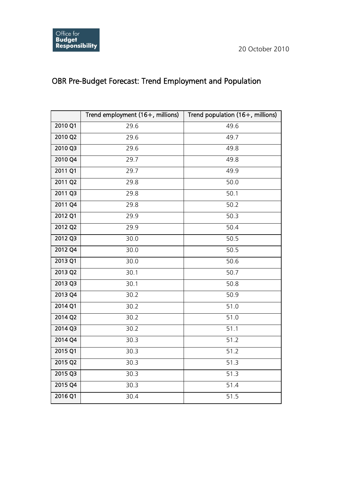## OBR Pre-Budget Forecast: Trend Employment and Population

|                       | Trend employment (16+, millions) | Trend population (16+, millions) |
|-----------------------|----------------------------------|----------------------------------|
| 2010 Q1               | 29.6                             | 49.6                             |
| 2010 Q2               | 29.6                             | 49.7                             |
| $2010$ Q3             | 29.6                             | 49.8                             |
| 2010 Q4               | 29.7                             | 49.8                             |
| 2011 Q1               | 29.7                             | 49.9                             |
| 2011 Q2               | 29.8                             | 50.0                             |
| 2011 Q3               | 29.8                             | 50.1                             |
| 2011 Q4               | 29.8                             | 50.2                             |
| 2012 Q1               | 29.9                             | 50.3                             |
| 2012 Q2               | 29.9                             | 50.4                             |
| 2012 Q3               | 30.0                             | 50.5                             |
| 2012 Q4               | 30.0                             | 50.5                             |
| 2013 Q1               | 30.0                             | 50.6                             |
| 2013 Q2               | 30.1                             | 50.7                             |
| 2013 Q3               | 30.1                             | 50.8                             |
| 2013 Q4               | 30.2                             | 50.9                             |
| 2014 Q1               | 30.2                             | 51.0                             |
| $2014$ Q <sub>2</sub> | 30.2                             | 51.0                             |
| 2014 Q3               | 30.2                             | 51.1                             |
| 2014 Q4               | 30.3                             | 51.2                             |
| 2015 Q1               | 30.3                             | 51.2                             |
| 2015 Q2               | 30.3                             | 51.3                             |
| 2015 Q3               | 30.3                             | 51.3                             |
| 2015 Q4               | 30.3                             | 51.4                             |
| 2016 Q1               | 30.4                             | 51.5                             |